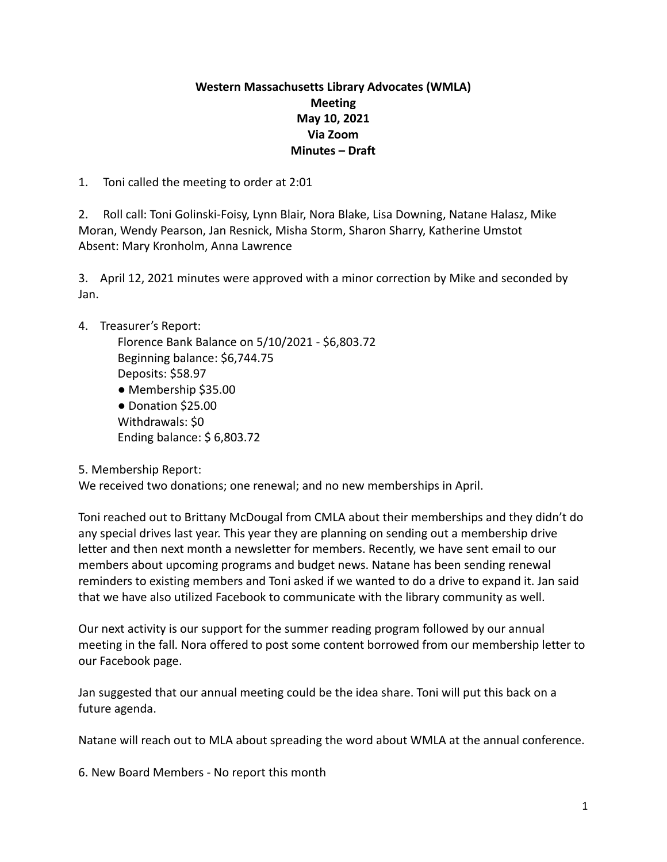## **Western Massachusetts Library Advocates (WMLA) Meeting May 10, 2021 Via Zoom Minutes – Draft**

1. Toni called the meeting to order at 2:01

2. Roll call: Toni Golinski-Foisy, Lynn Blair, Nora Blake, Lisa Downing, Natane Halasz, Mike Moran, Wendy Pearson, Jan Resnick, Misha Storm, Sharon Sharry, Katherine Umstot Absent: Mary Kronholm, Anna Lawrence

3. April 12, 2021 minutes were approved with a minor correction by Mike and seconded by Jan.

## 4. Treasurer's Report:

Florence Bank Balance on 5/10/2021 - \$6,803.72 Beginning balance: \$6,744.75 Deposits: \$58.97 ● Membership \$35.00

● Donation \$25.00 Withdrawals: \$0 Ending balance: \$ 6,803.72

5. Membership Report:

We received two donations; one renewal; and no new memberships in April.

Toni reached out to Brittany McDougal from CMLA about their memberships and they didn't do any special drives last year. This year they are planning on sending out a membership drive letter and then next month a newsletter for members. Recently, we have sent email to our members about upcoming programs and budget news. Natane has been sending renewal reminders to existing members and Toni asked if we wanted to do a drive to expand it. Jan said that we have also utilized Facebook to communicate with the library community as well.

Our next activity is our support for the summer reading program followed by our annual meeting in the fall. Nora offered to post some content borrowed from our membership letter to our Facebook page.

Jan suggested that our annual meeting could be the idea share. Toni will put this back on a future agenda.

Natane will reach out to MLA about spreading the word about WMLA at the annual conference.

6. New Board Members - No report this month